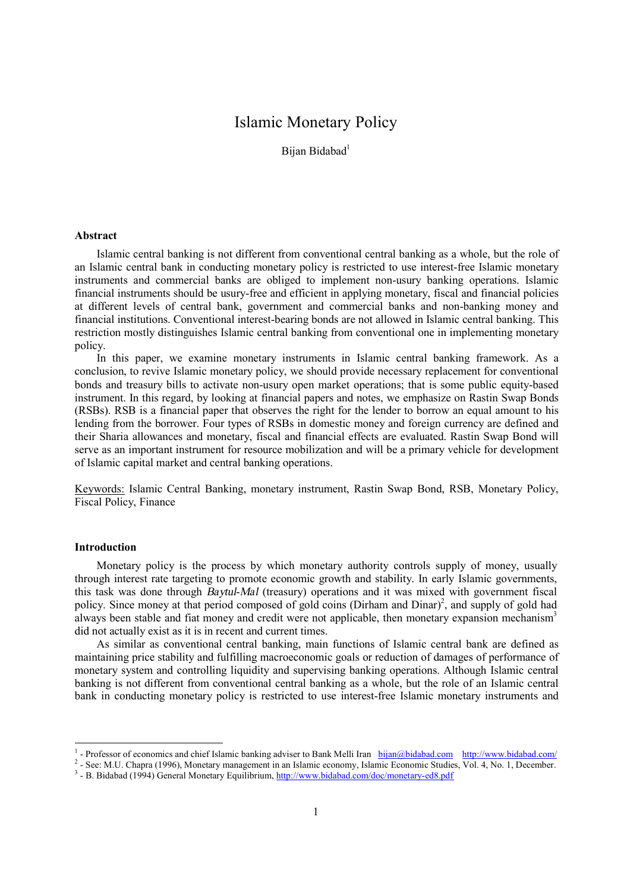# Islamic Monetary Policy

Bijan Bidabad<sup>1</sup>

### **Abstract**

Islamic central banking is not different from conventional central banking as a whole, but the role of an Islamic central bank in conducting monetary policy is restricted to use interest-free Islamic monetary instruments and commercial banks are obliged to implement non-usury banking operations. Islamic financial instruments should be usury-free and efficient in applying monetary, fiscal and financial policies at different levels of central bank, government and commercial banks and non-banking money and financial institutions. Conventional interest-bearing bonds are not allowed in Islamic central banking. This restriction mostly distinguishes Islamic central banking from conventional one in implementing monetary policy.

In this paper, we examine monetary instruments in Islamic central banking framework. As a conclusion, to revive Islamic monetary policy, we should provide necessary replacement for conventional bonds and treasury bills to activate non-usury open market operations; that is some public equity-based instrument. In this regard, by looking at financial papers and notes, we emphasize on Rastin Swap Bonds (RSBs). RSB is a financial paper that observes the right for the lender to borrow an equal amount to his lending from the borrower. Four types of RSBs in domestic money and foreign currency are defined and their Sharia allowances and monetary, fiscal and financial effects are evaluated. Rastin Swap Bond will serve as an important instrument for resource mobilization and will be a primary vehicle for development of Islamic capital market and central banking operations.

Keywords: Islamic Central Banking, monetary instrument, Rastin Swap Bond, RSB, Monetary Policy, Fiscal Policy, Finance

#### **Introduction**

Monetary policy is the process by which monetary authority controls supply of money, usually through interest rate targeting to promote economic growth and stability. In early Islamic governments, this task was done through *Baytul*-*Mal* (treasury) operations and it was mixed with government fiscal policy. Since money at that period composed of gold coins (Dirham and Dinar)<sup>2</sup>, and supply of gold had always been stable and fiat money and credit were not applicable, then monetary expansion mechanism<sup>3</sup> did not actually exist as it is in recent and current times.

As similar as conventional central banking, main functions of Islamic central bank are defined as maintaining price stability and fulfilling macroeconomic goals or reduction of damages of performance of monetary system and controlling liquidity and supervising banking operations. Although Islamic central banking is not different from conventional central banking as a whole, but the role of an Islamic central bank in conducting monetary policy is restricted to use interest-free Islamic monetary instruments and

<sup>&</sup>lt;sup>1</sup> - Professor of economics and chief Islamic banking adviser to Bank Melli Iran [bijan@bidabad.com](mailto:bijan@bidabad.com) <http://www.bidabad.com/>

<sup>&</sup>lt;sup>2</sup> - See: M.U. Chapra (1996), Monetary management in an Islamic economy, Islamic Economic Studies, Vol. 4, No. 1, December.

<sup>&</sup>lt;sup>3</sup> - B. Bidabad (1994) General Monetary Equilibrium, <http://www.bidabad.com/doc/monetary-ed8.pdf>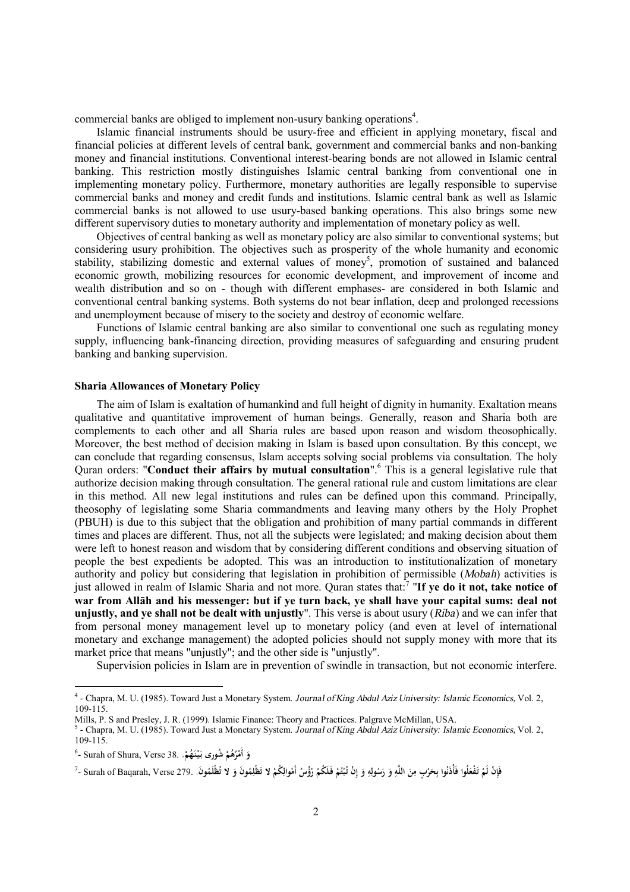commercial banks are obliged to implement non-usury banking operations<sup>4</sup>.

Islamic financial instruments should be usury-free and efficient in applying monetary, fiscal and financial policies at different levels of central bank, government and commercial banks and non-banking money and financial institutions. Conventional interest-bearing bonds are not allowed in Islamic central banking. This restriction mostly distinguishes Islamic central banking from conventional one in implementing monetary policy. Furthermore, monetary authorities are legally responsible to supervise commercial banks and money and credit funds and institutions. Islamic central bank as well as Islamic commercial banks is not allowed to use usury-based banking operations. This also brings some new different supervisory duties to monetary authority and implementation of monetary policy as well.

Objectives of central banking as well as monetary policy are also similar to conventional systems; but considering usury prohibition. The objectives such as prosperity of the whole humanity and economic stability, stabilizing domestic and external values of money<sup>5</sup>, promotion of sustained and balanced economic growth, mobilizing resources for economic development, and improvement of income and wealth distribution and so on - though with different emphases- are considered in both Islamic and conventional central banking systems. Both systems do not bear inflation, deep and prolonged recessions and unemployment because of misery to the society and destroy of economic welfare.

Functions of Islamic central banking are also similar to conventional one such as regulating money supply, influencing bank-financing direction, providing measures of safeguarding and ensuring prudent banking and banking supervision.

#### **Sharia Allowances of Monetary Policy**

The aim of Islam is exaltation of humankind and full height of dignity in humanity. Exaltation means qualitative and quantitative improvement of human beings. Generally, reason and Sharia both are complements to each other and all Sharia rules are based upon reason and wisdom theosophically. Moreover, the best method of decision making in Islam is based upon consultation. By this concept, we can conclude that regarding consensus, Islam accepts solving social problems via consultation. The holy Quran orders: "**Conduct their affairs by mutual consultation**".<sup>6</sup> This is a general legislative rule that authorize decision making through consultation. The general rational rule and custom limitations are clear in this method. All new legal institutions and rules can be defined upon this command. Principally, theosophy of legislating some Sharia commandments and leaving many others by the Holy Prophet (PBUH) is due to this subject that the obligation and prohibition of many partial commands in different times and places are different. Thus, not all the subjects were legislated; and making decision about them were left to honest reason and wisdom that by considering different conditions and observing situation of people the best expedients be adopted. This was an introduction to institutionalization of monetary authority and policy but considering that legislation in prohibition of permissible (*Mobah*) activities is just allowed in realm of Islamic Sharia and not more. Quran states that:<sup>7</sup> "**If ye do it not, take notice of**  war from Allāh and his messenger: but if ye turn back, ye shall have your capital sums: deal not **unjustly, and ye shall not be dealt with unjustly**". This verse is about usury (*Riba*) and we can infer that from personal money management level up to monetary policy (and even at level of international monetary and exchange management) the adopted policies should not supply money with more that its market price that means "unjustly"; and the other side is "unjustly".

Supervision policies in Islam are in prevention of swindle in transaction, but not economic interfere.

<sup>4</sup> - Chapra, M. U. (1985). Toward Just a Monetary System. *Journal of King Abdul Aziz University: Islamic Economics,* Vol. 2, 109-115.

Mills, P. S and Presley, J. R. (1999). Islamic Finance: Theory and Practices. Palgrave McMillan, USA.

<sup>5</sup> - Chapra, M. U. (1985). Toward Just a Monetary System. *Journal of King Abdul Aziz University: Islamic Economics,* Vol. 2, 109-115.

<sup>6</sup> - Surah of Shura, Verse 38. **شورىُ ْ ُم ه ُ ْر أَم و . ُم َه نـْ يـ بـ َ ْ َ**

فَإِنْ لَمْ تَفْعَلُوا فَأَذَنُوا بِحَرْبٍ مِنَ اللَّهِ وَ رَسُولِهِ وَ إِنْ تُبْتُمْ فَلَكُمْ رُؤُسُ أَمْوالِكُمْ لا تَطْلِمُونَ وَ لا تُظْلَمُونَ. Surah of Baqarah, Verse 279- وَ **ِ ِ ْ ْ ْ ِ إ َ ِ ِ َ ِ َ ِ ْ َ َ ْ**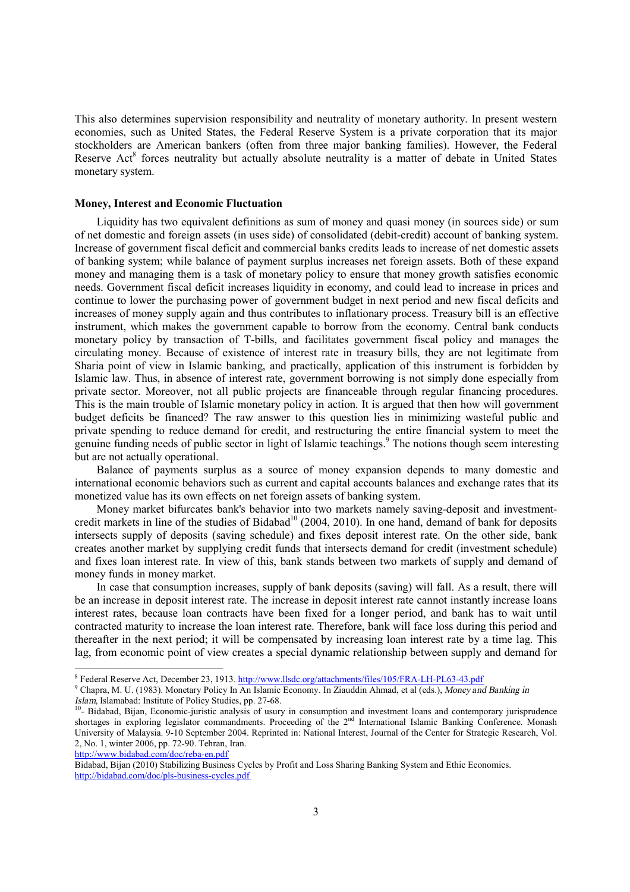This also determines supervision responsibility and neutrality of monetary authority. In present western economies, such as United States, the Federal Reserve System is a private corporation that its major stockholders are American bankers (often from three major banking families). However, the Federal Reserve Act<sup>8</sup> forces neutrality but actually absolute neutrality is a matter of debate in United States monetary system.

#### **Money, Interest and Economic Fluctuation**

Liquidity has two equivalent definitions as sum of money and quasi money (in sources side) or sum of net domestic and foreign assets (in uses side) of consolidated (debit-credit) account of banking system. Increase of government fiscal deficit and commercial banks credits leads to increase of net domestic assets of banking system; while balance of payment surplus increases net foreign assets. Both of these expand money and managing them is a task of monetary policy to ensure that money growth satisfies economic needs. Government fiscal deficit increases liquidity in economy, and could lead to increase in prices and continue to lower the purchasing power of government budget in next period and new fiscal deficits and increases of money supply again and thus contributes to inflationary process. Treasury bill is an effective instrument, which makes the government capable to borrow from the economy. Central bank conducts monetary policy by transaction of T-bills, and facilitates government fiscal policy and manages the circulating money. Because of existence of interest rate in treasury bills, they are not legitimate from Sharia point of view in Islamic banking, and practically, application of this instrument is forbidden by Islamic law. Thus, in absence of interest rate, government borrowing is not simply done especially from private sector. Moreover, not all public projects are financeable through regular financing procedures. This is the main trouble of Islamic monetary policy in action. It is argued that then how will government budget deficits be financed? The raw answer to this question lies in minimizing wasteful public and private spending to reduce demand for credit, and restructuring the entire financial system to meet the genuine funding needs of public sector in light of Islamic teachings.<sup>9</sup> The notions though seem interesting but are not actually operational.

Balance of payments surplus as a source of money expansion depends to many domestic and international economic behaviors such as current and capital accounts balances and exchange rates that its monetized value has its own effects on net foreign assets of banking system.

Money market bifurcates bank's behavior into two markets namely saving-deposit and investmentcredit markets in line of the studies of Bidabad<sup>10</sup> (2004, 2010). In one hand, demand of bank for deposits intersects supply of deposits (saving schedule) and fixes deposit interest rate. On the other side, bank creates another market by supplying credit funds that intersects demand for credit (investment schedule) and fixes loan interest rate. In view of this, bank stands between two markets of supply and demand of money funds in money market.

In case that consumption increases, supply of bank deposits (saving) will fall. As a result, there will be an increase in deposit interest rate. The increase in deposit interest rate cannot instantly increase loans interest rates, because loan contracts have been fixed for a longer period, and bank has to wait until contracted maturity to increase the loan interest rate. Therefore, bank will face loss during this period and thereafter in the next period; it will be compensated by increasing loan interest rate by a time lag. This lag, from economic point of view creates a special dynamic relationship between supply and demand for

<http://www.bidabad.com/doc/reba-en.pdf>

 $\overline{a}$ 

<sup>&</sup>lt;sup>8</sup> Federal Reserve Act, December 23, 1913. http://www.llsdc.org/attachments/files/105/FRA-LH-PL63-43.pdf

<sup>9</sup> Chapra, M. U. (1983). Monetary Policy In An Islamic Economy. In Ziauddin Ahmad, et al (eds.), *Money and Banking in*  Islam, Islamabad: Institute of Policy Studies, pp. 27-68.<br><sup>10</sup>- Bidabad, Bijan, Economic-juristic analysis of usury in consumption and investment loans and contemporary jurisprudence

shortages in exploring legislator commandments. Proceeding of the 2<sup>nd</sup> International Islamic Banking Conference. Monash University of Malaysia. 9-10 September 2004. Reprinted in: National Interest, Journal of the Center for Strategic Research, Vol. 2, No. 1, winter 2006, pp. 72-90. Tehran, Iran.

Bidabad, Bijan (2010) Stabilizing Business Cycles by Profit and Loss Sharing Banking System and Ethic Economics. <http://bidabad.com/doc/pls-business-cycles.pdf>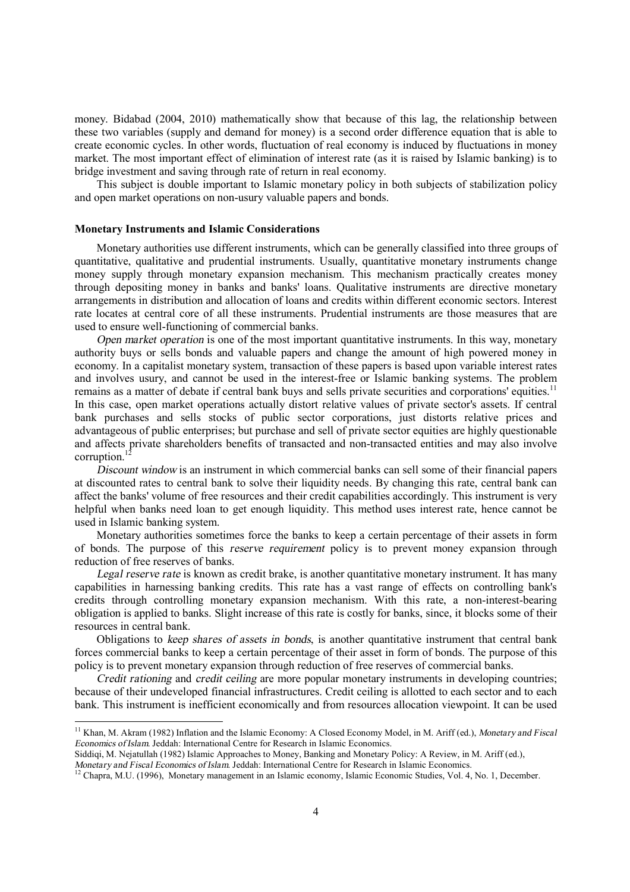money. Bidabad (2004, 2010) mathematically show that because of this lag, the relationship between these two variables (supply and demand for money) is a second order difference equation that is able to create economic cycles. In other words, fluctuation of real economy is induced by fluctuations in money market. The most important effect of elimination of interest rate (as it is raised by Islamic banking) is to bridge investment and saving through rate of return in real economy.

This subject is double important to Islamic monetary policy in both subjects of stabilization policy and open market operations on non-usury valuable papers and bonds.

#### **Monetary Instruments and Islamic Considerations**

Monetary authorities use different instruments, which can be generally classified into three groups of quantitative, qualitative and prudential instruments. Usually, quantitative monetary instruments change money supply through monetary expansion mechanism. This mechanism practically creates money through depositing money in banks and banks' loans. Qualitative instruments are directive monetary arrangements in distribution and allocation of loans and credits within different economic sectors. Interest rate locates at central core of all these instruments. Prudential instruments are those measures that are used to ensure well-functioning of commercial banks.

*Open market operation* is one of the most important quantitative instruments. In this way, monetary authority buys or sells bonds and valuable papers and change the amount of high powered money in economy. In a capitalist monetary system, transaction of these papers is based upon variable interest rates and involves usury, and cannot be used in the interest-free or Islamic banking systems. The problem remains as a matter of debate if central bank buys and sells private securities and corporations' equities.<sup>11</sup> In this case, open market operations actually distort relative values of private sector's assets. If central bank purchases and sells stocks of public sector corporations, just distorts relative prices and advantageous of public enterprises; but purchase and sell of private sector equities are highly questionable and affects private shareholders benefits of transacted and non-transacted entities and may also involve corruption. $<sup>1</sup>$ </sup>

*Discount window* is an instrument in which commercial banks can sell some of their financial papers at discounted rates to central bank to solve their liquidity needs. By changing this rate, central bank can affect the banks' volume of free resources and their credit capabilities accordingly. This instrument is very helpful when banks need loan to get enough liquidity. This method uses interest rate, hence cannot be used in Islamic banking system.

Monetary authorities sometimes force the banks to keep a certain percentage of their assets in form of bonds. The purpose of this *reserve requirement* policy is to prevent money expansion through reduction of free reserves of banks.

*Legal reserve rate* is known as credit brake, is another quantitative monetary instrument. It has many capabilities in harnessing banking credits. This rate has a vast range of effects on controlling bank's credits through controlling monetary expansion mechanism. With this rate, a non-interest-bearing obligation is applied to banks. Slight increase of this rate is costly for banks, since, it blocks some of their resources in central bank.

Obligations to *keep shares of assets in bonds*, is another quantitative instrument that central bank forces commercial banks to keep a certain percentage of their asset in form of bonds. The purpose of this policy is to prevent monetary expansion through reduction of free reserves of commercial banks.

*Credit rationing* and *credit ceiling* are more popular monetary instruments in developing countries; because of their undeveloped financial infrastructures. Credit ceiling is allotted to each sector and to each bank. This instrument is inefficient economically and from resources allocation viewpoint. It can be used

<sup>11</sup> Khan, M. Akram (1982) Inflation and the Islamic Economy: A Closed Economy Model, in M. Ariff (ed.), *Monetary and Fiscal Economics of Islam*. Jeddah: International Centre for Research in Islamic Economics.

Siddiqi, M. Nejatullah (1982) Islamic Approaches to Money, Banking and Monetary Policy: A Review, in M. Ariff (ed.),

*Monetary and Fiscal Economics of Islam*. Jeddah: International Centre for Research in Islamic Economics.

<sup>&</sup>lt;sup>12</sup> Chapra, M.U. (1996), Monetary management in an Islamic economy, Islamic Economic Studies, Vol. 4, No. 1, December.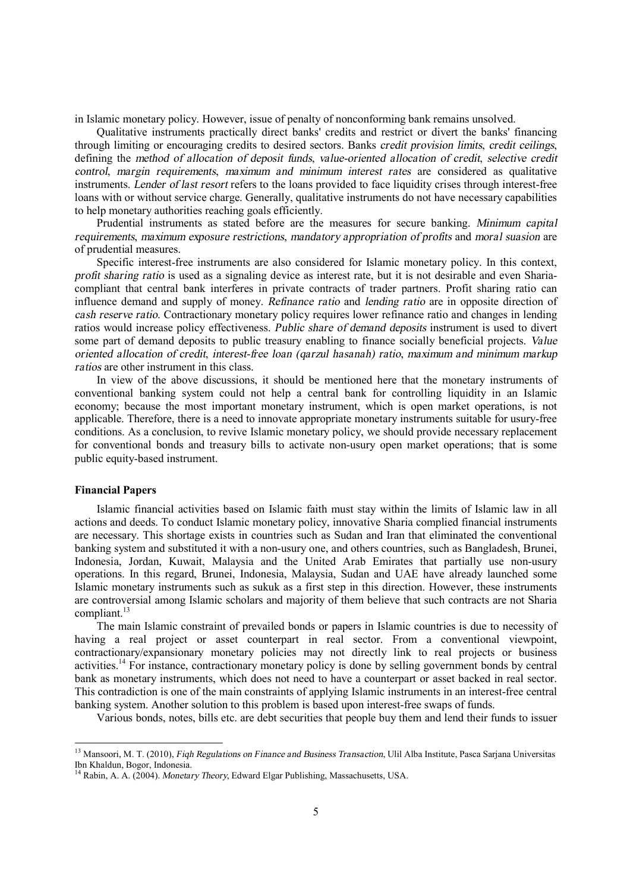in Islamic monetary policy. However, issue of penalty of nonconforming bank remains unsolved.

Qualitative instruments practically direct banks' credits and restrict or divert the banks' financing through limiting or encouraging credits to desired sectors. Banks *credit provision limits*, *credit ceilings*, defining the *method of allocation of deposit funds*, *value-oriented allocation of credit*, *selective credit control*, *margin requirements*, *maximum and minimum interest rates* are considered as qualitative instruments. *Lender of last resort* refers to the loans provided to face liquidity crises through interest-free loans with or without service charge. Generally, qualitative instruments do not have necessary capabilities to help monetary authorities reaching goals efficiently.

Prudential instruments as stated before are the measures for secure banking. *Minimum capital requirements*, *maximum exposure restrictions*, *mandatory appropriation of profits* and *moral suasion* are of prudential measures.

Specific interest-free instruments are also considered for Islamic monetary policy. In this context, *profit sharing ratio* is used as a signaling device as interest rate, but it is not desirable and even Shariacompliant that central bank interferes in private contracts of trader partners. Profit sharing ratio can influence demand and supply of money. *Refinance ratio* and *lending ratio* are in opposite direction of *cash reserve ratio*. Contractionary monetary policy requires lower refinance ratio and changes in lending ratios would increase policy effectiveness. *Public share of demand deposits* instrument is used to divert some part of demand deposits to public treasury enabling to finance socially beneficial projects. *Value oriented allocation of credit*, *interest-free loan (qarzul hasanah) ratio*, *maximum and minimum markup ratios* are other instrument in this class.

In view of the above discussions, it should be mentioned here that the monetary instruments of conventional banking system could not help a central bank for controlling liquidity in an Islamic economy; because the most important monetary instrument, which is open market operations, is not applicable. Therefore, there is a need to innovate appropriate monetary instruments suitable for usury-free conditions. As a conclusion, to revive Islamic monetary policy, we should provide necessary replacement for conventional bonds and treasury bills to activate non-usury open market operations; that is some public equity-based instrument.

#### **Financial Papers**

Islamic financial activities based on Islamic faith must stay within the limits of Islamic law in all actions and deeds. To conduct Islamic monetary policy, innovative Sharia complied financial instruments are necessary. This shortage exists in countries such as Sudan and Iran that eliminated the conventional banking system and substituted it with a non-usury one, and others countries, such as Bangladesh, Brunei, Indonesia, Jordan, Kuwait, Malaysia and the United Arab Emirates that partially use non-usury operations. In this regard, Brunei, Indonesia, Malaysia, Sudan and UAE have already launched some Islamic monetary instruments such as sukuk as a first step in this direction. However, these instruments are controversial among Islamic scholars and majority of them believe that such contracts are not Sharia compliant.<sup>13</sup>

The main Islamic constraint of prevailed bonds or papers in Islamic countries is due to necessity of having a real project or asset counterpart in real sector. From a conventional viewpoint, contractionary/expansionary monetary policies may not directly link to real projects or business activities.<sup>14</sup> For instance, contractionary monetary policy is done by selling government bonds by central bank as monetary instruments, which does not need to have a counterpart or asset backed in real sector. This contradiction is one of the main constraints of applying Islamic instruments in an interest-free central banking system. Another solution to this problem is based upon interest-free swaps of funds.

Various bonds, notes, bills etc. are debt securities that people buy them and lend their funds to issuer

<sup>13</sup> Mansoori, M. T. (2010), *Fiqh Regulations on Finance and Business Transaction*, Ulil Alba Institute, Pasca Sarjana Universitas Ibn Khaldun, Bogor, Indonesia.

<sup>14</sup> Rabin, A. A. (2004). *Monetary Theory*, Edward Elgar Publishing, Massachusetts, USA.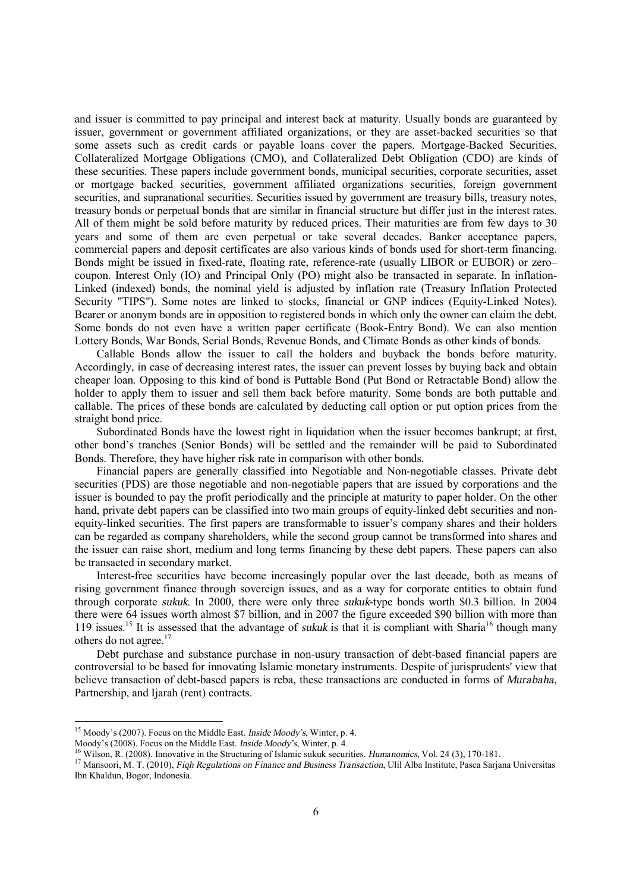and issuer is committed to pay principal and interest back at maturity. Usually bonds are guaranteed by issuer, government or government affiliated organizations, or they are asset-backed securities so that some assets such as credit cards or payable loans cover the papers. Mortgage-Backed Securities, Collateralized Mortgage Obligations (CMO), and Collateralized Debt Obligation (CDO) are kinds of these securities. These papers include government bonds, municipal securities, corporate securities, asset or mortgage backed securities, government affiliated organizations securities, foreign government securities, and supranational securities. Securities issued by government are treasury bills, treasury notes, treasury bonds or perpetual bonds that are similar in financial structure but differ just in the interest rates. All of them might be sold before maturity by reduced prices. Their maturities are from few days to 30 years and some of them are even perpetual or take several decades. Banker acceptance papers, commercial papers and deposit certificates are also various kinds of bonds used for short-term financing. Bonds might be issued in fixed-rate, floating rate, reference-rate (usually LIBOR or EUBOR) or zero– coupon. Interest Only (IO) and Principal Only (PO) might also be transacted in separate. In inflation-Linked (indexed) bonds, the nominal yield is adjusted by inflation rate (Treasury Inflation Protected Security "TIPS"). Some notes are linked to stocks, financial or GNP indices (Equity-Linked Notes). Bearer or anonym bonds are in opposition to registered bonds in which only the owner can claim the debt. Some bonds do not even have a written paper certificate (Book-Entry Bond). We can also mention Lottery Bonds, War Bonds, Serial Bonds, Revenue Bonds, and Climate Bonds as other kinds of bonds.

Callable Bonds allow the issuer to call the holders and buyback the bonds before maturity. Accordingly, in case of decreasing interest rates, the issuer can prevent losses by buying back and obtain cheaper loan. Opposing to this kind of bond is Puttable Bond (Put Bond or Retractable Bond) allow the holder to apply them to issuer and sell them back before maturity. Some bonds are both puttable and callable. The prices of these bonds are calculated by deducting call option or put option prices from the straight bond price.

Subordinated Bonds have the lowest right in liquidation when the issuer becomes bankrupt; at first, other bond's tranches (Senior Bonds) will be settled and the remainder will be paid to Subordinated Bonds. Therefore, they have higher risk rate in comparison with other bonds.

Financial papers are generally classified into Negotiable and Non-negotiable classes. Private debt securities (PDS) are those negotiable and non-negotiable papers that are issued by corporations and the issuer is bounded to pay the profit periodically and the principle at maturity to paper holder. On the other hand, private debt papers can be classified into two main groups of equity-linked debt securities and nonequity-linked securities. The first papers are transformable to issuer's company shares and their holders can be regarded as company shareholders, while the second group cannot be transformed into shares and the issuer can raise short, medium and long terms financing by these debt papers. These papers can also be transacted in secondary market.

Interest-free securities have become increasingly popular over the last decade, both as means of rising government finance through sovereign issues, and as a way for corporate entities to obtain fund through corporate *sukuk*. In 2000, there were only three *sukuk*-type bonds worth \$0.3 billion. In 2004 there were 64 issues worth almost \$7 billion, and in 2007 the figure exceeded \$90 billion with more than 119 issues.<sup>15</sup> It is assessed that the advantage of *sukuk* is that it is compliant with Sharia<sup>16</sup> though many others do not agree.<sup>17</sup>

Debt purchase and substance purchase in non-usury transaction of debt-based financial papers are controversial to be based for innovating Islamic monetary instruments. Despite of jurisprudents' view that believe transaction of debt-based papers is reba, these transactions are conducted in forms of *Murabaha*, Partnership, and Ijarah (rent) contracts.

<sup>15</sup> Moody's (2007). Focus on the Middle East. *Inside Moody's*, Winter, p. 4.

Moody's (2008). Focus on the Middle East. *Inside Moody's*, Winter, p. 4.

<sup>16</sup> Wilson, R. (2008). Innovative in the Structuring of Islamic sukuk securities. *Humanomics*, Vol. 24 (3), 170-181.

<sup>17</sup> Mansoori, M. T. (2010), *Fiqh Regulations on Finance and Business Transaction*, Ulil Alba Institute, Pasca Sarjana Universitas Ibn Khaldun, Bogor, Indonesia.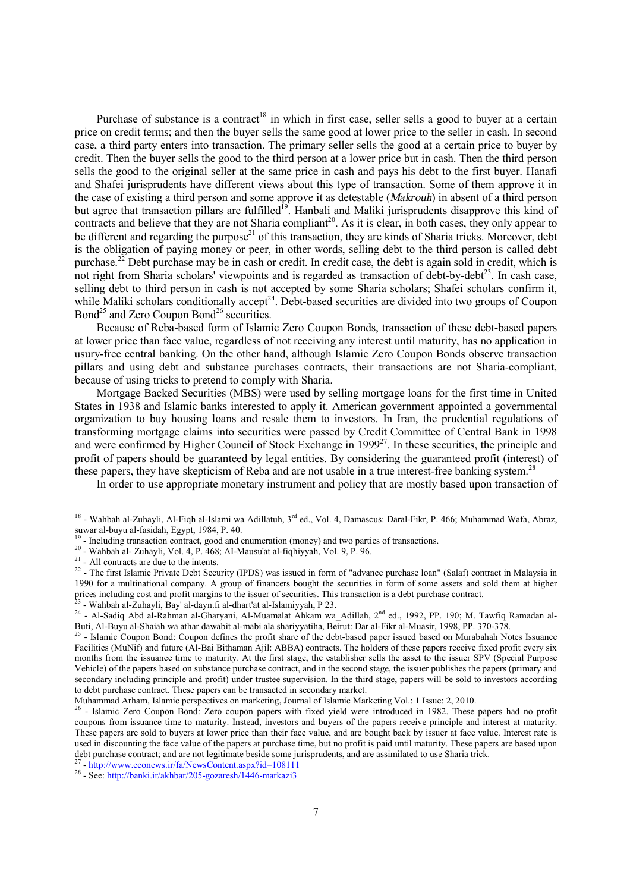Purchase of substance is a contract<sup>18</sup> in which in first case, seller sells a good to buyer at a certain price on credit terms; and then the buyer sells the same good at lower price to the seller in cash. In second case, a third party enters into transaction. The primary seller sells the good at a certain price to buyer by credit. Then the buyer sells the good to the third person at a lower price but in cash. Then the third person sells the good to the original seller at the same price in cash and pays his debt to the first buyer. Hanafi and Shafei jurisprudents have different views about this type of transaction. Some of them approve it in the case of existing a third person and some approve it as detestable (*Makrouh*) in absent of a third person but agree that transaction pillars are fulfilled<sup>19</sup>. Hanbali and Maliki jurisprudents disapprove this kind of contracts and believe that they are not Sharia compliant<sup>20</sup>. As it is clear, in both cases, they only appear to be different and regarding the purpose<sup>21</sup> of this transaction, they are kinds of Sharia tricks. Moreover, debt is the obligation of paying money or peer, in other words, selling debt to the third person is called debt purchase.<sup>22</sup> Debt purchase may be in cash or credit. In credit case, the debt is again sold in credit, which is not right from Sharia scholars' viewpoints and is regarded as transaction of debt-by-debt<sup>23</sup>. In cash case, selling debt to third person in cash is not accepted by some Sharia scholars; Shafei scholars confirm it, while Maliki scholars conditionally accept<sup>24</sup>. Debt-based securities are divided into two groups of Coupon Bond<sup>25</sup> and Zero Coupon Bond<sup>26</sup> securities.

Because of Reba-based form of Islamic Zero Coupon Bonds, transaction of these debt-based papers at lower price than face value, regardless of not receiving any interest until maturity, has no application in usury-free central banking. On the other hand, although Islamic Zero Coupon Bonds observe transaction pillars and using debt and substance purchases contracts, their transactions are not Sharia-compliant, because of using tricks to pretend to comply with Sharia.

Mortgage Backed Securities (MBS) were used by selling mortgage loans for the first time in United States in 1938 and Islamic banks interested to apply it. American government appointed a governmental organization to buy housing loans and resale them to investors. In Iran, the prudential regulations of transforming mortgage claims into securities were passed by Credit Committee of Central Bank in 1998 and were confirmed by Higher Council of Stock Exchange in 1999<sup>27</sup>. In these securities, the principle and profit of papers should be guaranteed by legal entities. By considering the guaranteed profit (interest) of these papers, they have skepticism of Reba and are not usable in a true interest-free banking system.<sup>28</sup>

In order to use appropriate monetary instrument and policy that are mostly based upon transaction of

<sup>27</sup> - <http://www.econews.ir/fa/NewsContent.aspx?id=108111><br><sup>28</sup> - See: <u>http://banki.ir/akhbar/205-gozaresh/1446-markazi3</u>

<sup>&</sup>lt;sup>18</sup> - Wahbah al-Zuhayli, Al-Fiqh al-Islami wa Adillatuh, 3<sup>rd</sup> ed., Vol. 4, Damascus: Daral-Fikr, P. 466; Muhammad Wafa, Abraz, suwar al-buyu al-fasidah, Egypt, 1984, P. 40.

<sup>&</sup>lt;sup>19</sup> - Including transaction contract, good and enumeration (money) and two parties of transactions.

<sup>20</sup> - Wahbah al- Zuhayli, Vol. 4, P. 468; AI-Mausu'at al-fiqhiyyah, Vol. 9, P. 96.

<sup>&</sup>lt;sup>21</sup> - All contracts are due to the intents.

 $^{22}$  - The first Islamic Private Debt Security (IPDS) was issued in form of "advance purchase loan" (Salaf) contract in Malaysia in 1990 for a multinational company. A group of financers bought the securities in form of some assets and sold them at higher prices including cost and profit margins to the issuer of securities. This transaction is a debt purchase contract.<br><sup>23</sup> Webbah al Zubayli, Baylal dayn fi al dhar'lat al Islaminyah, B 23. - Wahbah al-Zuhayli, Bay' al-dayn.fi al-dhart'at al-Islamiyyah, P 23.

<sup>&</sup>lt;sup>24</sup> - Al-Sadiq Abd al-Rahman al-Gharyani, Al-Muamalat Ahkam wa\_Adillah, 2<sup>nd</sup> ed., 1992, PP. 190; M. Tawfiq Ramadan al-Buti, Al-Buyu al-Shaiah wa athar dawabit al-mabi ala shariyyatiha, Beirut: Dar al-Fikr al-Muasir, 1998, PP. 370-378.

 $^{25}$  - Islamic Coupon Bond: Coupon defines the profit share of the debt-based paper issued based on Murabahah Notes Issuance Facilities (MuNif) and future (Al-Bai Bithaman Ajil: ABBA) contracts. The holders of these papers receive fixed profit every six months from the issuance time to maturity. At the first stage, the establisher sells the asset to the issuer SPV (Special Purpose Vehicle) of the papers based on substance purchase contract, and in the second stage, the issuer publishes the papers (primary and secondary including principle and profit) under trustee supervision. In the third stage, papers will be sold to investors according to debt purchase contract. These papers can be transacted in secondary market.

Muhammad Arham, Islamic perspectives on marketing, Journal of Islamic Marketing Vol.: 1 Issue: 2, 2010.

 $^{26}$  - Islamic Zero Coupon Bond: Zero coupon papers with fixed yield were introduced in 1982. These papers had no profit coupons from issuance time to maturity. Instead, investors and buyers of the papers receive principle and interest at maturity. These papers are sold to buyers at lower price than their face value, and are bought back by issuer at face value. Interest rate is used in discounting the face value of the papers at purchase time, but no profit is paid until maturity. These papers are based upon debt purchase contract; and are not legitimate beside some jurisprudents, and are assimilated to use Sharia trick.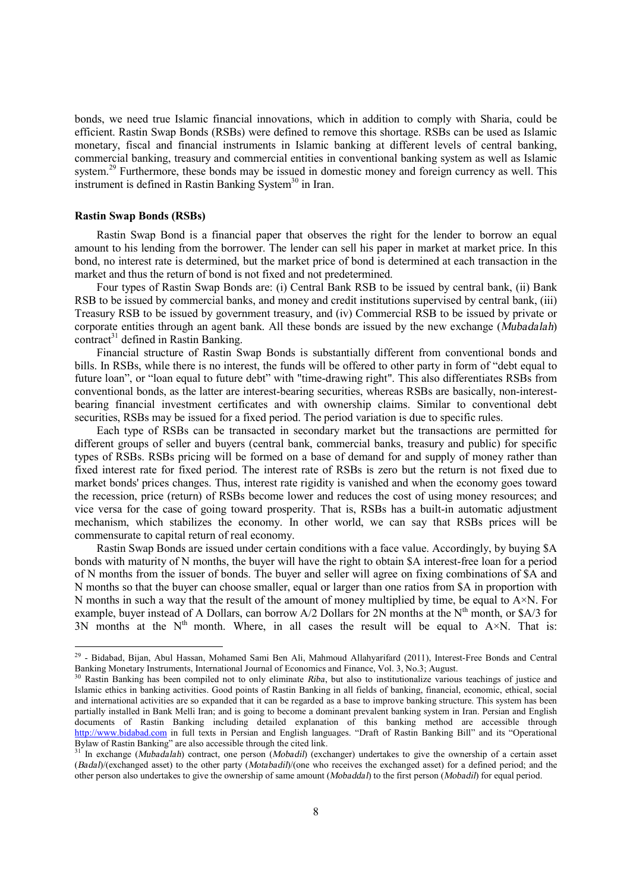bonds, we need true Islamic financial innovations, which in addition to comply with Sharia, could be efficient. Rastin Swap Bonds (RSBs) were defined to remove this shortage. RSBs can be used as Islamic monetary, fiscal and financial instruments in Islamic banking at different levels of central banking, commercial banking, treasury and commercial entities in conventional banking system as well as Islamic system.<sup>29</sup> Furthermore, these bonds may be issued in domestic money and foreign currency as well. This instrument is defined in Rastin Banking System<sup>30</sup> in Iran.

## **Rastin Swap Bonds (RSBs)**

Rastin Swap Bond is a financial paper that observes the right for the lender to borrow an equal amount to his lending from the borrower. The lender can sell his paper in market at market price. In this bond, no interest rate is determined, but the market price of bond is determined at each transaction in the market and thus the return of bond is not fixed and not predetermined.

Four types of Rastin Swap Bonds are: (i) Central Bank RSB to be issued by central bank, (ii) Bank RSB to be issued by commercial banks, and money and credit institutions supervised by central bank, (iii) Treasury RSB to be issued by government treasury, and (iv) Commercial RSB to be issued by private or corporate entities through an agent bank. All these bonds are issued by the new exchange (*Mubadalah*)  $control<sup>31</sup>$  defined in Rastin Banking.

Financial structure of Rastin Swap Bonds is substantially different from conventional bonds and bills. In RSBs, while there is no interest, the funds will be offered to other party in form of "debt equal to future loan", or "loan equal to future debt" with "time-drawing right". This also differentiates RSBs from conventional bonds, as the latter are interest-bearing securities, whereas RSBs are basically, non-interestbearing financial investment certificates and with ownership claims. Similar to conventional debt securities, RSBs may be issued for a fixed period. The period variation is due to specific rules.

Each type of RSBs can be transacted in secondary market but the transactions are permitted for different groups of seller and buyers (central bank, commercial banks, treasury and public) for specific types of RSBs. RSBs pricing will be formed on a base of demand for and supply of money rather than fixed interest rate for fixed period. The interest rate of RSBs is zero but the return is not fixed due to market bonds' prices changes. Thus, interest rate rigidity is vanished and when the economy goes toward the recession, price (return) of RSBs become lower and reduces the cost of using money resources; and vice versa for the case of going toward prosperity. That is, RSBs has a built-in automatic adjustment mechanism, which stabilizes the economy. In other world, we can say that RSBs prices will be commensurate to capital return of real economy.

Rastin Swap Bonds are issued under certain conditions with a face value. Accordingly, by buying \$A bonds with maturity of N months, the buyer will have the right to obtain \$A interest-free loan for a period of N months from the issuer of bonds. The buyer and seller will agree on fixing combinations of \$A and N months so that the buyer can choose smaller, equal or larger than one ratios from \$A in proportion with N months in such a way that the result of the amount of money multiplied by time, be equal to  $A \times N$ . For example, buyer instead of A Dollars, can borrow  $A/2$  Dollars for 2N months at the N<sup>th</sup> month, or \$A/3 for 3N months at the  $N<sup>th</sup>$  month. Where, in all cases the result will be equal to  $A \times N$ . That is:

<sup>&</sup>lt;sup>29</sup> - Bidabad, Bijan, Abul Hassan, Mohamed Sami Ben Ali, Mahmoud Allahyarifard (2011), Interest-Free Bonds and Central Banking Monetary Instruments, International Journal of Economics and Finance, Vol. 3, No.3; August.

<sup>30</sup> Rastin Banking has been compiled not to only eliminate *Riba*, but also to institutionalize various teachings of justice and Islamic ethics in banking activities. Good points of Rastin Banking in all fields of banking, financial, economic, ethical, social and international activities are so expanded that it can be regarded as a base to improve banking structure. This system has been partially installed in Bank Melli Iran; and is going to become a dominant prevalent banking system in Iran. Persian and English documents of Rastin Banking including detailed explanation of this banking method are accessible through <http://www.bidabad.com> in full texts in Persian and English languages. "Draft of Rastin Banking Bill" and its "Operational Bylaw of Rastin Banking" are also accessible through the cited link.

<sup>&</sup>lt;sup>31</sup> In exchange (*Mubadalah*) contract, one person (*Mobadil*) (exchanger) undertakes to give the ownership of a certain asset (*Badal*)/(exchanged asset) to the other party (*Motabadil*)/(one who receives the exchanged asset) for a defined period; and the other person also undertakes to give the ownership of same amount (*Mobaddal*) to the first person (*Mobadil*) for equal period.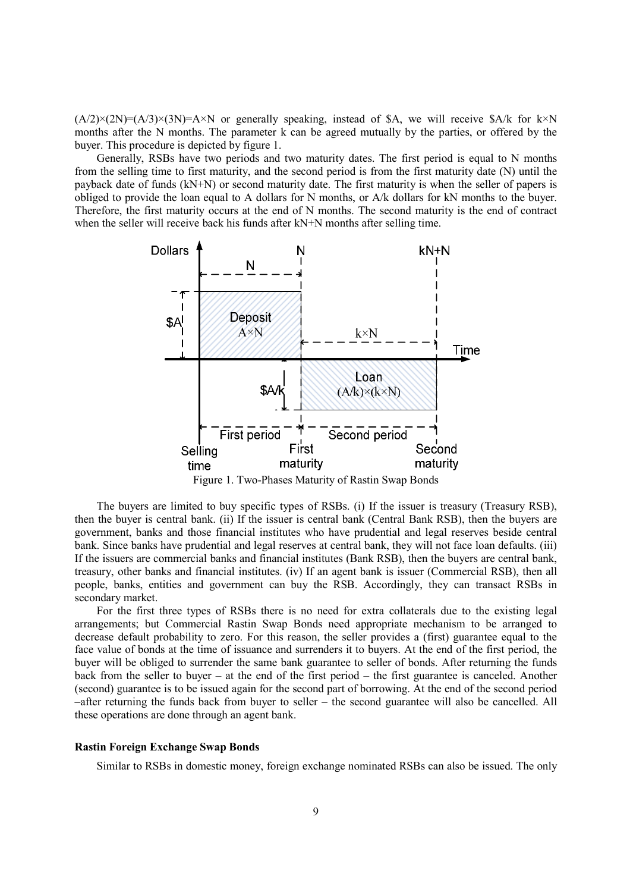$(A/2)\times(2N)=(A/3)\times(3N)=A\times N$  or generally speaking, instead of \$A, we will receive \$A/k for k×N months after the N months. The parameter k can be agreed mutually by the parties, or offered by the buyer. This procedure is depicted by figure 1.

Generally, RSBs have two periods and two maturity dates. The first period is equal to N months from the selling time to first maturity, and the second period is from the first maturity date (N) until the payback date of funds (kN+N) or second maturity date. The first maturity is when the seller of papers is obliged to provide the loan equal to A dollars for N months, or A/k dollars for kN months to the buyer. Therefore, the first maturity occurs at the end of N months. The second maturity is the end of contract when the seller will receive back his funds after kN+N months after selling time.



Figure 1. Two-Phases Maturity of Rastin Swap Bonds

The buyers are limited to buy specific types of RSBs. (i) If the issuer is treasury (Treasury RSB), then the buyer is central bank. (ii) If the issuer is central bank (Central Bank RSB), then the buyers are government, banks and those financial institutes who have prudential and legal reserves beside central bank. Since banks have prudential and legal reserves at central bank, they will not face loan defaults. (iii) If the issuers are commercial banks and financial institutes (Bank RSB), then the buyers are central bank, treasury, other banks and financial institutes. (iv) If an agent bank is issuer (Commercial RSB), then all people, banks, entities and government can buy the RSB. Accordingly, they can transact RSBs in secondary market.

For the first three types of RSBs there is no need for extra collaterals due to the existing legal arrangements; but Commercial Rastin Swap Bonds need appropriate mechanism to be arranged to decrease default probability to zero. For this reason, the seller provides a (first) guarantee equal to the face value of bonds at the time of issuance and surrenders it to buyers. At the end of the first period, the buyer will be obliged to surrender the same bank guarantee to seller of bonds. After returning the funds back from the seller to buyer – at the end of the first period – the first guarantee is canceled. Another (second) guarantee is to be issued again for the second part of borrowing. At the end of the second period –after returning the funds back from buyer to seller – the second guarantee will also be cancelled. All these operations are done through an agent bank.

## **Rastin Foreign Exchange Swap Bonds**

Similar to RSBs in domestic money, foreign exchange nominated RSBs can also be issued. The only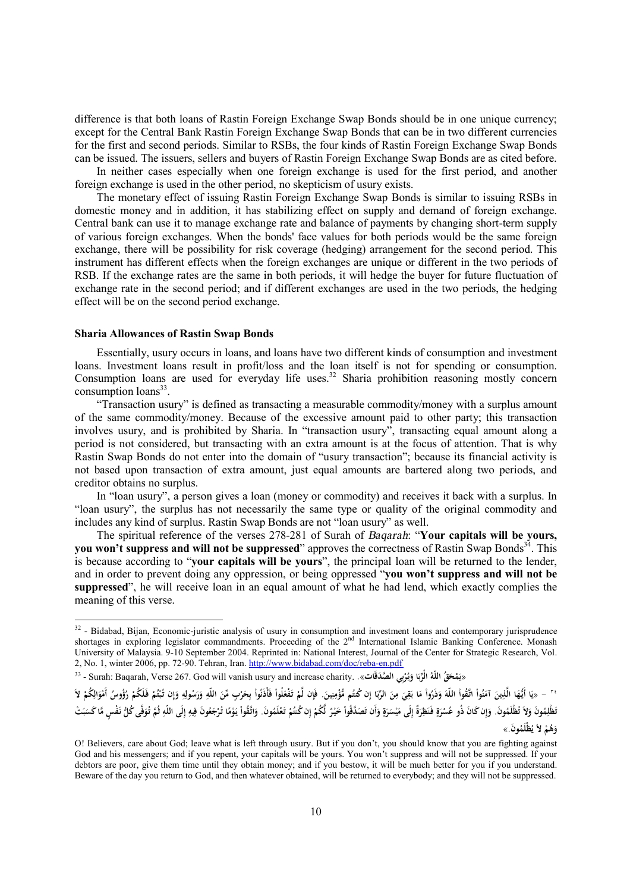difference is that both loans of Rastin Foreign Exchange Swap Bonds should be in one unique currency; except for the Central Bank Rastin Foreign Exchange Swap Bonds that can be in two different currencies for the first and second periods. Similar to RSBs, the four kinds of Rastin Foreign Exchange Swap Bonds can be issued. The issuers, sellers and buyers of Rastin Foreign Exchange Swap Bonds are as cited before.

In neither cases especially when one foreign exchange is used for the first period, and another foreign exchange is used in the other period, no skepticism of usury exists.

The monetary effect of issuing Rastin Foreign Exchange Swap Bonds is similar to issuing RSBs in domestic money and in addition, it has stabilizing effect on supply and demand of foreign exchange. Central bank can use it to manage exchange rate and balance of payments by changing short-term supply of various foreign exchanges. When the bonds' face values for both periods would be the same foreign exchange, there will be possibility for risk coverage (hedging) arrangement for the second period. This instrument has different effects when the foreign exchanges are unique or different in the two periods of RSB. If the exchange rates are the same in both periods, it will hedge the buyer for future fluctuation of exchange rate in the second period; and if different exchanges are used in the two periods, the hedging effect will be on the second period exchange.

# **Sharia Allowances of Rastin Swap Bonds**

Essentially, usury occurs in loans, and loans have two different kinds of consumption and investment loans. Investment loans result in profit/loss and the loan itself is not for spending or consumption. Consumption loans are used for everyday life uses.<sup>32</sup> Sharia prohibition reasoning mostly concern  $consumption loans<sup>33</sup>$ .

"Transaction usury" is defined as transacting a measurable commodity/money with a surplus amount of the same commodity/money. Because of the excessive amount paid to other party; this transaction involves usury, and is prohibited by Sharia. In "transaction usury", transacting equal amount along a period is not considered, but transacting with an extra amount is at the focus of attention. That is why Rastin Swap Bonds do not enter into the domain of "usury transaction"; because its financial activity is not based upon transaction of extra amount, just equal amounts are bartered along two periods, and creditor obtains no surplus.

In "loan usury", a person gives a loan (money or commodity) and receives it back with a surplus. In "loan usury", the surplus has not necessarily the same type or quality of the original commodity and includes any kind of surplus. Rastin Swap Bonds are not "loan usury" as well.

The spiritual reference of the verses 278-281 of Surah of *Baqarah*: "**Your capitals will be yours, you** won't suppress and will not be suppressed" approves the correctness of Rastin Swap Bonds<sup>34</sup>. This is because according to "**your capitals will be yours**", the principal loan will be returned to the lender, and in order to prevent doing any oppression, or being oppressed "**you won't suppress and will not be suppressed**", he will receive loan in an equal amount of what he had lend, which exactly complies the meaning of this verse.

َ " – «يَا أَيُّهَا الَّذِينَ آمَنُواْ اللَّهَ وَذَرُواْ مَا بَقِيَ مِنَ الرِّبَا إِن كُتُم مُّؤْمِنِينَ. فَإِن لَّمْ تَفْعَلُواْ فَأَذَنُواْ بِحَرْبِ مِّنَ الرَّبَا إِن كُتُم مُّؤْمِنِينَ. فَإِن لَّمْ تَفْعَلُواْ فَأَذَن **ْ َ َ َ َ َ ِ إ َ ِ ِ َ ِ َ ْ َ َ ْ َ ِ َ َ ِ َ ِ َ َ ْ ِ َ ْ ْ ْ َ** تَظْلِمُونَ وَلاَ تُظْلَمُونَ. وَإِن كَانَ ذُو عُسْرَةٍ فَنَظِرَةٌ إِلَى مَيْسَرَةٍ وَأَن تَصَدَّقُواْ خَيْرٌ لَّكُمْ إِن كُسُمْ تَعْلَمُونَ. وَاتَّقُواْ يَوْمًا تُوتُم وَاتِ تَصَدَّقُواْ جَيْرٌ لَّكُمْ إِن كُسُمْ تَعْلَمُ **ٍ َ َ َ ِ َ ٍ َ ْ إ َ ِ َ ث ِ ِ إ ِ َ ً ْ َ َ ْ ْ إ ْ ل ْ ْ َ َ َون. ُ ُظْلَم ْ لاَ ي ُم ه و** » **َ**

<sup>&</sup>lt;sup>32</sup> - Bidabad, Bijan, Economic-juristic analysis of usury in consumption and investment loans and contemporary jurisprudence shortages in exploring legislator commandments. Proceeding of the  $2<sup>nd</sup>$  International Islamic Banking Conference. Monash University of Malaysia. 9-10 September 2004. Reprinted in: National Interest, Journal of the Center for Strategic Research, Vol. 2, No. 1, winter 2006, pp. 72-90. Tehran, Iran.<http://www.bidabad.com/doc/reba-en.pdf>

<sup>33 -</sup> Surah: Baqarah, Verse 267. God will vanish usury and increase charity. . «يَمْحَقُ اللَّهُ الْرَّبَا وَيُرْبِي الصَّدَقَات». .{\dispara} Surah: Baqarah, Verse 267. God will vanish usury and increase charity **ْ َ َ**

O! Believers, care about God; leave what is left through usury. But if you don't, you should know that you are fighting against God and his messengers; and if you repent, your capitals will be yours. You won't suppress and will not be suppressed. If your debtors are poor, give them time until they obtain money; and if you bestow, it will be much better for you if you understand. Beware of the day you return to God, and then whatever obtained, will be returned to everybody; and they will not be suppressed.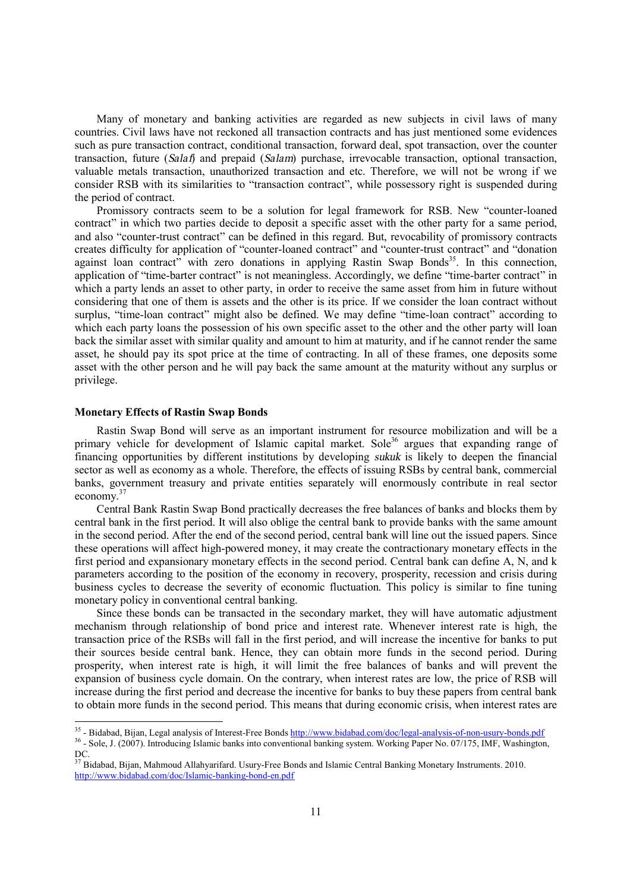Many of monetary and banking activities are regarded as new subjects in civil laws of many countries. Civil laws have not reckoned all transaction contracts and has just mentioned some evidences such as pure transaction contract, conditional transaction, forward deal, spot transaction, over the counter transaction, future (*Salaf*) and prepaid (*Salam*) purchase, irrevocable transaction, optional transaction, valuable metals transaction, unauthorized transaction and etc. Therefore, we will not be wrong if we consider RSB with its similarities to "transaction contract", while possessory right is suspended during the period of contract.

Promissory contracts seem to be a solution for legal framework for RSB. New "counter-loaned contract" in which two parties decide to deposit a specific asset with the other party for a same period, and also "counter-trust contract" can be defined in this regard. But, revocability of promissory contracts creates difficulty for application of "counter-loaned contract" and "counter-trust contract" and "donation against loan contract<sup>3</sup> with zero donations in applying Rastin Swap Bonds<sup>35</sup>. In this connection, application of "time-barter contract" is not meaningless. Accordingly, we define "time-barter contract" in which a party lends an asset to other party, in order to receive the same asset from him in future without considering that one of them is assets and the other is its price. If we consider the loan contract without surplus, "time-loan contract" might also be defined. We may define "time-loan contract" according to which each party loans the possession of his own specific asset to the other and the other party will loan back the similar asset with similar quality and amount to him at maturity, and if he cannot render the same asset, he should pay its spot price at the time of contracting. In all of these frames, one deposits some asset with the other person and he will pay back the same amount at the maturity without any surplus or privilege.

# **Monetary Effects of Rastin Swap Bonds**

Rastin Swap Bond will serve as an important instrument for resource mobilization and will be a primary vehicle for development of Islamic capital market. Sole<sup>36</sup> argues that expanding range of financing opportunities by different institutions by developing *sukuk* is likely to deepen the financial sector as well as economy as a whole. Therefore, the effects of issuing RSBs by central bank, commercial banks, government treasury and private entities separately will enormously contribute in real sector economy. 37

Central Bank Rastin Swap Bond practically decreases the free balances of banks and blocks them by central bank in the first period. It will also oblige the central bank to provide banks with the same amount in the second period. After the end of the second period, central bank will line out the issued papers. Since these operations will affect high-powered money, it may create the contractionary monetary effects in the first period and expansionary monetary effects in the second period. Central bank can define A, N, and k parameters according to the position of the economy in recovery, prosperity, recession and crisis during business cycles to decrease the severity of economic fluctuation. This policy is similar to fine tuning monetary policy in conventional central banking.

Since these bonds can be transacted in the secondary market, they will have automatic adjustment mechanism through relationship of bond price and interest rate. Whenever interest rate is high, the transaction price of the RSBs will fall in the first period, and will increase the incentive for banks to put their sources beside central bank. Hence, they can obtain more funds in the second period. During prosperity, when interest rate is high, it will limit the free balances of banks and will prevent the expansion of business cycle domain. On the contrary, when interest rates are low, the price of RSB will increase during the first period and decrease the incentive for banks to buy these papers from central bank to obtain more funds in the second period. This means that during economic crisis, when interest rates are

<sup>&</sup>lt;sup>35</sup> - Bidabad, Bijan, Legal analysis of Interest-Free Bonds<http://www.bidabad.com/doc/legal-analysis-of-non-usury-bonds.pdf>

<sup>&</sup>lt;sup>36</sup> - Sole, J. (2007). Introducing Islamic banks into conventional banking system. Working Paper No. 07/175, IMF, Washington, DC.

<sup>&</sup>lt;sup>37</sup> Bidabad. Biian, Mahmoud Allahyarifard. Usury-Free Bonds and Islamic Central Banking Monetary Instruments. 2010. <http://www.bidabad.com/doc/Islamic-banking-bond-en.pdf>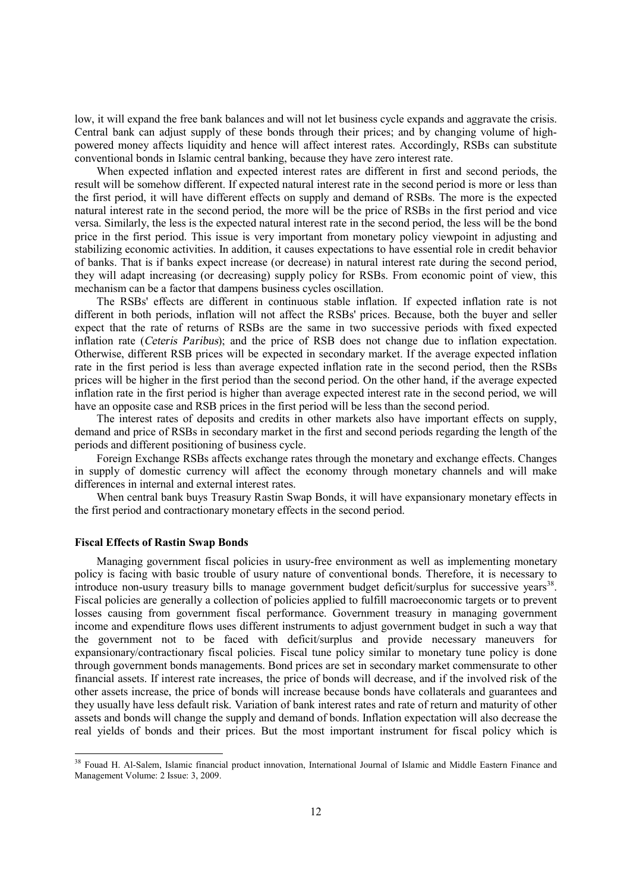low, it will expand the free bank balances and will not let business cycle expands and aggravate the crisis. Central bank can adjust supply of these bonds through their prices; and by changing volume of highpowered money affects liquidity and hence will affect interest rates. Accordingly, RSBs can substitute conventional bonds in Islamic central banking, because they have zero interest rate.

When expected inflation and expected interest rates are different in first and second periods, the result will be somehow different. If expected natural interest rate in the second period is more or less than the first period, it will have different effects on supply and demand of RSBs. The more is the expected natural interest rate in the second period, the more will be the price of RSBs in the first period and vice versa. Similarly, the less is the expected natural interest rate in the second period, the less will be the bond price in the first period. This issue is very important from monetary policy viewpoint in adjusting and stabilizing economic activities. In addition, it causes expectations to have essential role in credit behavior of banks. That is if banks expect increase (or decrease) in natural interest rate during the second period, they will adapt increasing (or decreasing) supply policy for RSBs. From economic point of view, this mechanism can be a factor that dampens business cycles oscillation.

The RSBs' effects are different in continuous stable inflation. If expected inflation rate is not different in both periods, inflation will not affect the RSBs' prices. Because, both the buyer and seller expect that the rate of returns of RSBs are the same in two successive periods with fixed expected inflation rate (*Ceteris Paribus*); and the price of RSB does not change due to inflation expectation. Otherwise, different RSB prices will be expected in secondary market. If the average expected inflation rate in the first period is less than average expected inflation rate in the second period, then the RSBs prices will be higher in the first period than the second period. On the other hand, if the average expected inflation rate in the first period is higher than average expected interest rate in the second period, we will have an opposite case and RSB prices in the first period will be less than the second period.

The interest rates of deposits and credits in other markets also have important effects on supply, demand and price of RSBs in secondary market in the first and second periods regarding the length of the periods and different positioning of business cycle.

Foreign Exchange RSBs affects exchange rates through the monetary and exchange effects. Changes in supply of domestic currency will affect the economy through monetary channels and will make differences in internal and external interest rates.

When central bank buys Treasury Rastin Swap Bonds, it will have expansionary monetary effects in the first period and contractionary monetary effects in the second period.

### **Fiscal Effects of Rastin Swap Bonds**

l

Managing government fiscal policies in usury-free environment as well as implementing monetary policy is facing with basic trouble of usury nature of conventional bonds. Therefore, it is necessary to introduce non-usury treasury bills to manage government budget deficit/surplus for successive years<sup>38</sup>. Fiscal policies are generally a collection of policies applied to fulfill macroeconomic targets or to prevent losses causing from government fiscal performance. Government treasury in managing government income and expenditure flows uses different instruments to adjust government budget in such a way that the government not to be faced with deficit/surplus and provide necessary maneuvers for expansionary/contractionary fiscal policies. Fiscal tune policy similar to monetary tune policy is done through government bonds managements. Bond prices are set in secondary market commensurate to other financial assets. If interest rate increases, the price of bonds will decrease, and if the involved risk of the other assets increase, the price of bonds will increase because bonds have collaterals and guarantees and they usually have less default risk. Variation of bank interest rates and rate of return and maturity of other assets and bonds will change the supply and demand of bonds. Inflation expectation will also decrease the real yields of bonds and their prices. But the most important instrument for fiscal policy which is

<sup>&</sup>lt;sup>38</sup> Fouad H. Al-Salem, Islamic financial product innovation, International Journal of Islamic and Middle Eastern Finance and Management Volume: 2 Issue: 3, 2009.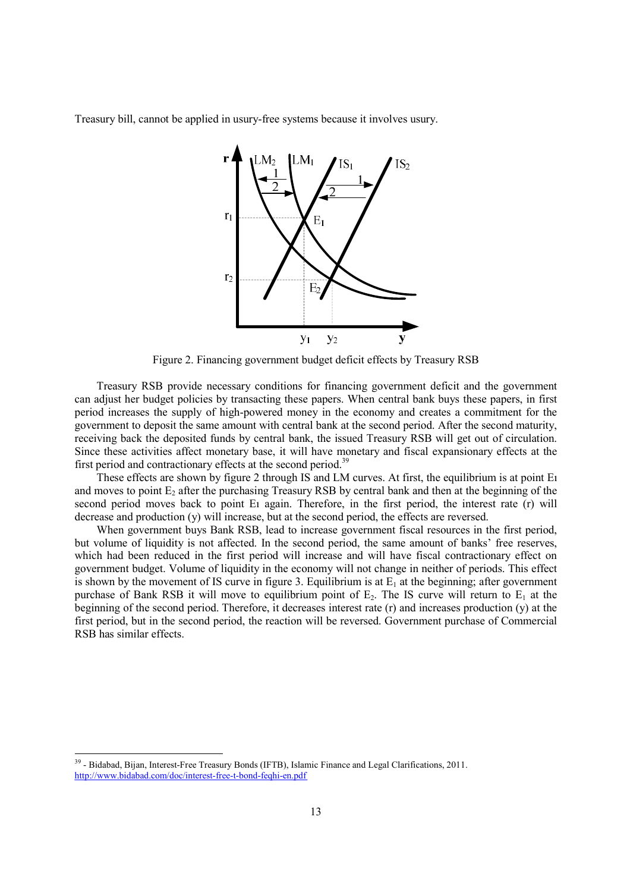Treasury bill, cannot be applied in usury-free systems because it involves usury.



Figure 2. Financing government budget deficit effects by Treasury RSB

Treasury RSB provide necessary conditions for financing government deficit and the government can adjust her budget policies by transacting these papers. When central bank buys these papers, in first period increases the supply of high-powered money in the economy and creates a commitment for the government to deposit the same amount with central bank at the second period. After the second maturity, receiving back the deposited funds by central bank, the issued Treasury RSB will get out of circulation. Since these activities affect monetary base, it will have monetary and fiscal expansionary effects at the first period and contractionary effects at the second period.<sup>39</sup>

These effects are shown by figure 2 through IS and LM curves. At first, the equilibrium is at point Eı and moves to point  $E_2$  after the purchasing Treasury RSB by central bank and then at the beginning of the second period moves back to point E<sub>1</sub> again. Therefore, in the first period, the interest rate (r) will decrease and production (y) will increase, but at the second period, the effects are reversed.

When government buys Bank RSB, lead to increase government fiscal resources in the first period, but volume of liquidity is not affected. In the second period, the same amount of banks' free reserves, which had been reduced in the first period will increase and will have fiscal contractionary effect on government budget. Volume of liquidity in the economy will not change in neither of periods. This effect is shown by the movement of IS curve in figure 3. Equilibrium is at  $E_1$  at the beginning; after government purchase of Bank RSB it will move to equilibrium point of  $E_2$ . The IS curve will return to  $E_1$  at the beginning of the second period. Therefore, it decreases interest rate (r) and increases production (y) at the first period, but in the second period, the reaction will be reversed. Government purchase of Commercial RSB has similar effects.

l

<sup>&</sup>lt;sup>39</sup> - Bidabad, Bijan, Interest-Free Treasury Bonds (IFTB), Islamic Finance and Legal Clarifications, 2011. <http://www.bidabad.com/doc/interest-free-t-bond-feqhi-en.pdf>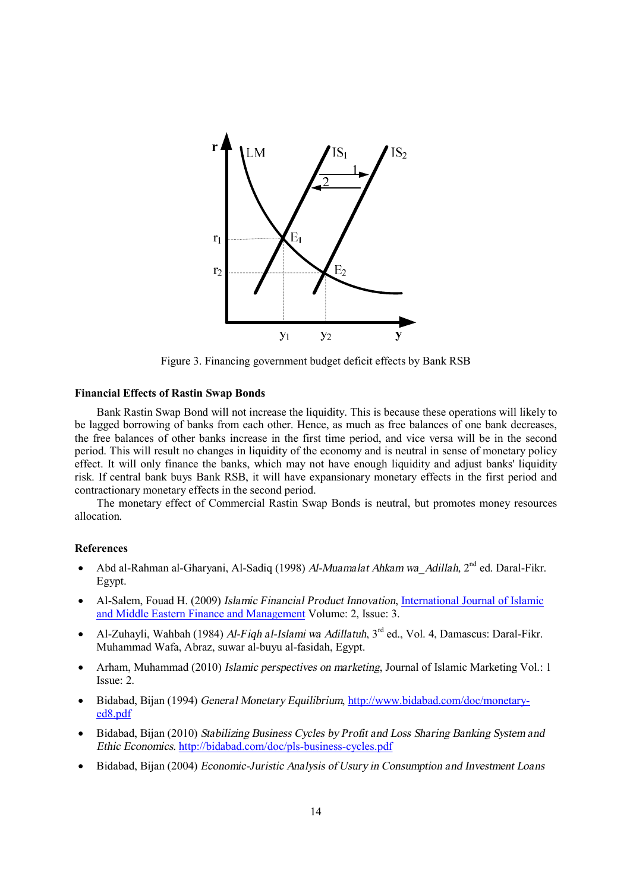

Figure 3. Financing government budget deficit effects by Bank RSB

# **Financial Effects of Rastin Swap Bonds**

Bank Rastin Swap Bond will not increase the liquidity. This is because these operations will likely to be lagged borrowing of banks from each other. Hence, as much as free balances of one bank decreases, the free balances of other banks increase in the first time period, and vice versa will be in the second period. This will result no changes in liquidity of the economy and is neutral in sense of monetary policy effect. It will only finance the banks, which may not have enough liquidity and adjust banks' liquidity risk. If central bank buys Bank RSB, it will have expansionary monetary effects in the first period and contractionary monetary effects in the second period.

The monetary effect of Commercial Rastin Swap Bonds is neutral, but promotes money resources allocation.

## **References**

- · Abd al-Rahman al-Gharyani, Al-Sadiq (1998) *Al-Muamalat Ahkam wa\_Adillah,* 2nd ed. Daral-Fikr. Egypt.
- · Al-Salem, Fouad H. (2009) *Islamic Financial Product Innovation*, International Journal of Islamic and Middle Eastern Finance and Management Volume: 2, Issue: 3.
- · Al-Zuhayli, Wahbah (1984) *Al-Fiqh al-Islami wa Adillatuh*, 3rd ed., Vol. 4, Damascus: Daral-Fikr. Muhammad Wafa, Abraz, suwar al-buyu al-fasidah, Egypt.
- · Arham, Muhammad (2010) *Islamic perspectives on marketing*, Journal of Islamic Marketing Vol.: 1 Issue: 2.
- · Bidabad, Bijan (1994) *General Monetary Equilibrium*, <http://www.bidabad.com/doc/monetary>ed8.pdf
- · Bidabad, Bijan (2010) *Stabilizing Business Cycles by Profit and Loss Sharing Banking System and Ethic Economics*. <http://bidabad.com/doc/pls-business-cycles.pdf>
- · Bidabad, Bijan (2004) *Economic-Juristic Analysis of Usury in Consumption and Investment Loans*